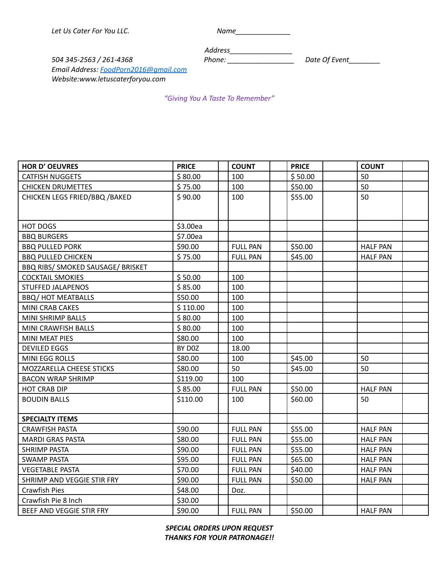*Let Us Cater For You LLC. Name\_\_\_\_\_\_\_\_\_\_\_\_\_\_*

*Address\_\_\_\_\_\_\_\_\_\_\_\_\_\_\_\_*

*504 345-2563 / 261-4368 Phone: \_\_\_\_\_\_\_\_\_\_\_\_\_\_\_\_\_ Date Of Event\_\_\_\_\_\_\_\_ Email Address: [FoodPorn2016@gmail.com](mailto:FoodPorn2016@gmail.com) Website:www.letuscaterforyou.com*

*"Giving You A Taste To Remember"*

| <b>HOR D' OEUVRES</b>             | <b>PRICE</b> | <b>COUNT</b>    | <b>PRICE</b> | <b>COUNT</b>    |
|-----------------------------------|--------------|-----------------|--------------|-----------------|
| <b>CATFISH NUGGETS</b>            | \$80.00      | 100             | \$50.00      | 50              |
| CHICKEN DRUMETTES                 | \$75.00      | 100             | \$50.00      | 50              |
| CHICKEN LEGS FRIED/BBQ / BAKED    | \$90.00      | 100             | \$55.00      | 50              |
|                                   |              |                 |              |                 |
|                                   |              |                 |              |                 |
| HOT DOGS                          | \$3.00ea     |                 |              |                 |
| <b>BBQ BURGERS</b>                | \$7.00ea     |                 |              |                 |
| <b>BBQ PULLED PORK</b>            | \$90.00      | <b>FULL PAN</b> | \$50.00      | <b>HALF PAN</b> |
| <b>BBQ PULLED CHICKEN</b>         | \$75.00      | <b>FULL PAN</b> | \$45.00      | <b>HALF PAN</b> |
| BBQ RIBS/ SMOKED SAUSAGE/ BRISKET |              |                 |              |                 |
| <b>COCKTAIL SMOKIES</b>           | \$50.00      | 100             |              |                 |
| <b>STUFFED JALAPENOS</b>          | \$85.00      | 100             |              |                 |
| <b>BBQ/ HOT MEATBALLS</b>         | \$50.00      | 100             |              |                 |
| MINI CRAB CAKES                   | \$110.00     | 100             |              |                 |
| MINI SHRIMP BALLS                 | \$80.00      | 100             |              |                 |
| MINI CRAWFISH BALLS               | \$80.00      | 100             |              |                 |
| <b>MINI MEAT PIES</b>             | \$80.00      | 100             |              |                 |
| <b>DEVILED EGGS</b>               | BY DOZ       | 18.00           |              |                 |
| MINI EGG ROLLS                    | \$80.00      | 100             | \$45.00      | 50              |
| MOZZARELLA CHEESE STICKS          | \$80.00      | 50              | \$45.00      | 50              |
| <b>BACON WRAP SHRIMP</b>          | \$119.00     | 100             |              |                 |
| <b>HOT CRAB DIP</b>               | \$85.00      | <b>FULL PAN</b> | \$50.00      | <b>HALF PAN</b> |
| <b>BOUDIN BALLS</b>               | \$110.00     | 100             | \$60.00      | 50              |
|                                   |              |                 |              |                 |
| <b>SPECIALTY ITEMS</b>            |              |                 |              |                 |
| <b>CRAWFISH PASTA</b>             | \$90.00      | <b>FULL PAN</b> | \$55.00      | <b>HALF PAN</b> |
| <b>MARDI GRAS PASTA</b>           | \$80.00      | <b>FULL PAN</b> | \$55.00      | <b>HALF PAN</b> |
| <b>SHRIMP PASTA</b>               | \$90.00      | <b>FULL PAN</b> | \$55.00      | <b>HALF PAN</b> |
| <b>SWAMP PASTA</b>                | \$95.00      | <b>FULL PAN</b> | \$65.00      | <b>HALF PAN</b> |
| <b>VEGETABLE PASTA</b>            | \$70.00      | <b>FULL PAN</b> | \$40.00      | <b>HALF PAN</b> |
| SHRIMP AND VEGGIE STIR FRY        | \$90.00      | <b>FULL PAN</b> | \$50.00      | <b>HALF PAN</b> |
| Crawfish Pies                     | \$48.00      | Doz.            |              |                 |
| Crawfish Pie 8 Inch               | \$30.00      |                 |              |                 |
| BEEF AND VEGGIE STIR FRY          | \$90.00      | <b>FULL PAN</b> | \$50.00      | <b>HALF PAN</b> |

*SPECIAL ORDERS UPON REQUEST THANKS FOR YOUR PATRONAGE!!*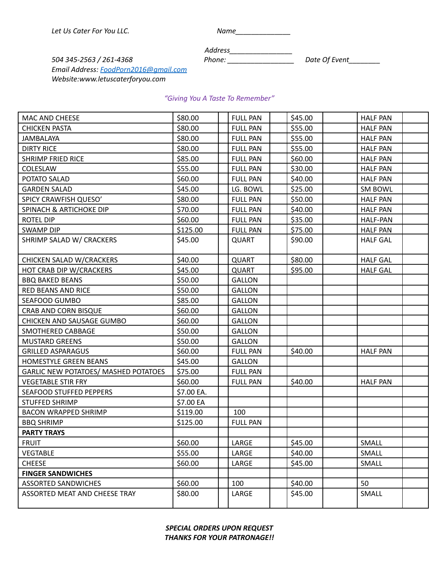| Name |  |
|------|--|
|------|--|

*Address\_\_\_\_\_\_\_\_\_\_\_\_\_\_\_\_*

*504 345-2563 / 261-4368 Phone: \_\_\_\_\_\_\_\_\_\_\_\_\_\_\_\_\_ Date Of Event\_\_\_\_\_\_\_\_ Email Address: [FoodPorn2016@gmail.com](mailto:FoodPorn2016@gmail.com) Website:www.letuscaterforyou.com*

## *"Giving You A Taste To Remember"*

| MAC AND CHEESE                              | \$80.00    | <b>FULL PAN</b> | \$45.00 | <b>HALF PAN</b> |
|---------------------------------------------|------------|-----------------|---------|-----------------|
| <b>CHICKEN PASTA</b>                        | \$80.00    | <b>FULL PAN</b> | \$55.00 | <b>HALF PAN</b> |
| <b>JAMBALAYA</b>                            | \$80.00    | <b>FULL PAN</b> | \$55.00 | <b>HALF PAN</b> |
| <b>DIRTY RICE</b>                           | \$80.00    | <b>FULL PAN</b> | \$55.00 | <b>HALF PAN</b> |
| <b>SHRIMP FRIED RICE</b>                    | \$85.00    | <b>FULL PAN</b> | \$60.00 | <b>HALF PAN</b> |
| COLESLAW                                    | \$55.00    | <b>FULL PAN</b> | \$30.00 | <b>HALF PAN</b> |
| POTATO SALAD                                | \$60.00    | <b>FULL PAN</b> | \$40.00 | <b>HALF PAN</b> |
| <b>GARDEN SALAD</b>                         | \$45.00    | LG. BOWL        | \$25.00 | <b>SM BOWL</b>  |
| SPICY CRAWFISH QUESO'                       | \$80.00    | <b>FULL PAN</b> | \$50.00 | <b>HALF PAN</b> |
| SPINACH & ARTICHOKE DIP                     | \$70.00    | <b>FULL PAN</b> | \$40.00 | <b>HALF PAN</b> |
| <b>ROTEL DIP</b>                            | \$60.00    | <b>FULL PAN</b> | \$35.00 | <b>HALF-PAN</b> |
| <b>SWAMP DIP</b>                            | \$125.00   | <b>FULL PAN</b> | \$75.00 | <b>HALF PAN</b> |
| SHRIMP SALAD W/ CRACKERS                    | \$45.00    | <b>QUART</b>    | \$90.00 | <b>HALF GAL</b> |
|                                             |            |                 |         |                 |
| <b>CHICKEN SALAD W/CRACKERS</b>             | \$40.00    | <b>QUART</b>    | \$80.00 | <b>HALF GAL</b> |
| HOT CRAB DIP W/CRACKERS                     | \$45.00    | <b>QUART</b>    | \$95.00 | <b>HALF GAL</b> |
| <b>BBQ BAKED BEANS</b>                      | \$50.00    | <b>GALLON</b>   |         |                 |
| <b>RED BEANS AND RICE</b>                   | \$50.00    | <b>GALLON</b>   |         |                 |
| SEAFOOD GUMBO                               | \$85.00    | <b>GALLON</b>   |         |                 |
| CRAB AND CORN BISQUE                        | \$60.00    | <b>GALLON</b>   |         |                 |
| CHICKEN AND SAUSAGE GUMBO                   | \$60.00    | <b>GALLON</b>   |         |                 |
| SMOTHERED CABBAGE                           | \$50.00    | <b>GALLON</b>   |         |                 |
| <b>MUSTARD GREENS</b>                       | \$50.00    | <b>GALLON</b>   |         |                 |
| <b>GRILLED ASPARAGUS</b>                    | \$60.00    | <b>FULL PAN</b> | \$40.00 | <b>HALF PAN</b> |
| HOMESTYLE GREEN BEANS                       | \$45.00    | <b>GALLON</b>   |         |                 |
| <b>GARLIC NEW POTATOES/ MASHED POTATOES</b> | \$75.00    | <b>FULL PAN</b> |         |                 |
| <b>VEGETABLE STIR FRY</b>                   | \$60.00    | <b>FULL PAN</b> | \$40.00 | <b>HALF PAN</b> |
| <b>SEAFOOD STUFFED PEPPERS</b>              | \$7.00 EA. |                 |         |                 |
| <b>STUFFED SHRIMP</b>                       | \$7.00 EA  |                 |         |                 |
| <b>BACON WRAPPED SHRIMP</b>                 | \$119.00   | 100             |         |                 |
| <b>BBQ SHRIMP</b>                           | \$125.00   | <b>FULL PAN</b> |         |                 |
| <b>PARTY TRAYS</b>                          |            |                 |         |                 |
| <b>FRUIT</b>                                | \$60.00    | LARGE           | \$45.00 | SMALL           |
| <b>VEGTABLE</b>                             | \$55.00    | LARGE           | \$40.00 | SMALL           |
| <b>CHEESE</b>                               | \$60.00    | LARGE           | \$45.00 | SMALL           |
| <b>FINGER SANDWICHES</b>                    |            |                 |         |                 |
| <b>ASSORTED SANDWICHES</b>                  | \$60.00    | 100             | \$40.00 | 50              |
| ASSORTED MEAT AND CHEESE TRAY               | \$80.00    | LARGE           | \$45.00 | SMALL           |
|                                             |            |                 |         |                 |